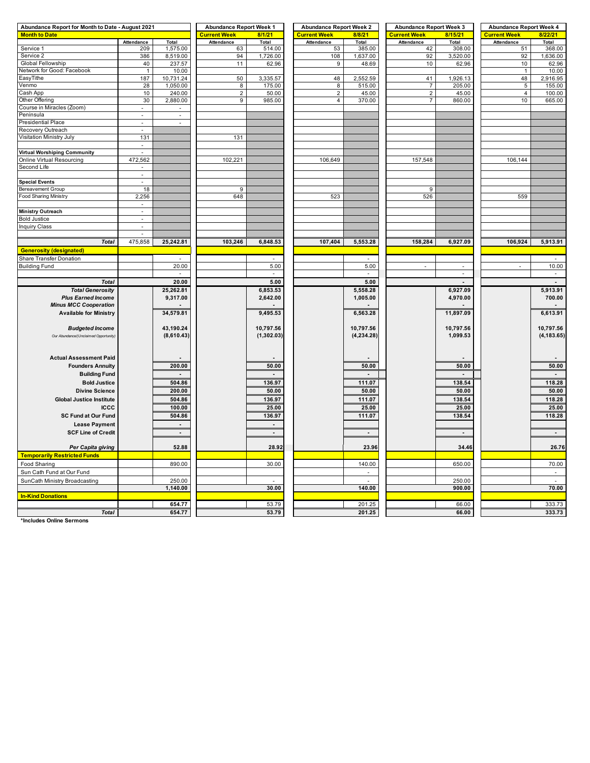| Abundance Report for Month to Date - August 2021 |                                |                     | <b>Abundance Report Week 1</b> |                          | <b>Abundance Report Week 2</b> |                     | <b>Abundance Report Week 3</b> |                          | <b>Abundance Report Week 4</b> |                          |  |  |  |
|--------------------------------------------------|--------------------------------|---------------------|--------------------------------|--------------------------|--------------------------------|---------------------|--------------------------------|--------------------------|--------------------------------|--------------------------|--|--|--|
| <b>Month to Date</b>                             |                                | <b>Current Week</b> | 8/1/21                         | <b>Current Week</b>      | 8/8/21                         | <b>Current Week</b> | 8/15/21                        | <b>Current Week</b>      | 8/22/21                        |                          |  |  |  |
|                                                  | Attendance                     | Total               | Attendance                     | Total                    | Attendance                     | Total               | Attendance                     | Total                    | Attendance                     | Total                    |  |  |  |
| Service 1                                        | 209                            | 1,575.00            | 63                             | 514.00                   | 53                             | 385.00              | 42                             | 308.00                   | 51                             | 368.00                   |  |  |  |
| Service 2                                        | 386                            | 8,519.00            | 94                             | 1,726.00                 | 108                            | 1,637.00            | 92                             | 3,520.00                 | 92                             | 1,636.00                 |  |  |  |
| Global Fellowship                                | 40                             | 237.57              | 11                             | 62.96                    | 9                              | 48.69               | $10$                           | 62.96                    | 10                             | 62.96                    |  |  |  |
| Network for Good: Facebook                       | $\mathbf{1}$                   | 10.00               |                                |                          |                                |                     |                                |                          | $\mathbf{1}$                   | 10.00                    |  |  |  |
| EasyTithe                                        | 187                            | 10,731.24           | 50                             | 3,335.57                 | 48                             | 2,552.59            | 41                             | 1,926.13                 | 48                             | 2,916.95                 |  |  |  |
| Venmo                                            | 28                             | 1,050.00            | 8                              | 175.00                   | 8                              | 515.00              | $\overline{7}$                 | 205.00                   | $5\phantom{.0}$                | 155.00                   |  |  |  |
| Cash App                                         | 10                             | 240.00              | $\overline{\mathbf{c}}$        | 50.00                    | $\overline{c}$                 | 45.00               | $\overline{2}$                 | 45.00                    | $\overline{4}$                 | 100.00                   |  |  |  |
| Other Offering                                   | 30                             | 2,880.00            | 9                              | 985.00                   | $\overline{4}$                 | 370.00              | $\overline{7}$                 | 860.00                   | 10                             | 665.00                   |  |  |  |
| Course in Miracles (Zoom)                        | ÷.                             | $\mathbf{r}$        |                                |                          |                                |                     |                                |                          |                                |                          |  |  |  |
| Peninsula                                        | ×.                             | ÷.                  |                                |                          |                                |                     |                                |                          |                                |                          |  |  |  |
| <b>Presidential Place</b>                        |                                |                     |                                |                          |                                |                     |                                |                          |                                |                          |  |  |  |
| Recovery Outreach                                | $\overline{\phantom{a}}$       |                     |                                |                          |                                |                     |                                |                          |                                |                          |  |  |  |
| Visitation Ministry July                         | 131                            |                     | 131                            |                          |                                |                     |                                |                          |                                |                          |  |  |  |
|                                                  |                                |                     |                                |                          |                                |                     |                                |                          |                                |                          |  |  |  |
| <b>Virtual Worshiping Community</b>              | $\overline{\phantom{a}}$       |                     |                                |                          |                                |                     |                                |                          |                                |                          |  |  |  |
| <b>Online Virtual Resourcing</b>                 | 472,562                        |                     | 102,221                        |                          | 106,649                        |                     | 157,548                        |                          | 106,144                        |                          |  |  |  |
| Second Life                                      | $\overline{\phantom{a}}$<br>×. |                     |                                |                          |                                |                     |                                |                          |                                |                          |  |  |  |
|                                                  | ä,                             |                     |                                |                          |                                |                     |                                |                          |                                |                          |  |  |  |
| <b>Special Events</b>                            |                                |                     |                                |                          |                                |                     |                                |                          |                                |                          |  |  |  |
| <b>Bereavement Group</b>                         | 18                             |                     | 9                              |                          |                                |                     | 9                              |                          |                                |                          |  |  |  |
| <b>Food Sharing Ministry</b>                     | 2,256                          |                     | 648                            |                          | 523                            |                     | 526                            |                          | 559                            |                          |  |  |  |
|                                                  | $\overline{\phantom{a}}$<br>÷. |                     |                                |                          |                                |                     |                                |                          |                                |                          |  |  |  |
| <b>Ministry Outreach</b>                         | $\mathcal{L}_{\mathcal{A}}$    |                     |                                |                          |                                |                     |                                |                          |                                |                          |  |  |  |
| <b>Bold Justice</b>                              | $\overline{\phantom{a}}$       |                     |                                |                          |                                |                     |                                |                          |                                |                          |  |  |  |
| <b>Inquiry Class</b>                             | $\overline{\phantom{a}}$       |                     |                                |                          |                                |                     |                                |                          |                                |                          |  |  |  |
|                                                  |                                |                     |                                |                          |                                |                     |                                |                          |                                |                          |  |  |  |
| <b>Total</b>                                     | 475,858                        | 25,242.81           | 103,246                        | 6,848.53                 | 107,404                        | 5,553.28            | 158,284                        | 6,927.09                 | 106,924                        | 5,913.91                 |  |  |  |
| <b>Generosity (designated)</b>                   |                                |                     |                                |                          |                                |                     |                                |                          |                                |                          |  |  |  |
| Share Transfer Donation                          |                                |                     |                                |                          |                                |                     |                                |                          |                                |                          |  |  |  |
| <b>Building Fund</b>                             |                                | 20.00               |                                | 5.00                     |                                | 5.00                |                                | $\overline{\phantom{a}}$ |                                | 10.00                    |  |  |  |
|                                                  |                                |                     |                                | $\overline{\phantom{a}}$ |                                |                     |                                | $\overline{\phantom{a}}$ |                                | $\sim$                   |  |  |  |
| <b>Total</b>                                     |                                | 20.00               |                                | 5.00                     |                                | 5.00                |                                |                          |                                |                          |  |  |  |
| <b>Total Generosity</b>                          |                                | 25,262.81           |                                | 6,853.53                 |                                | 5,558.28            |                                | 6,927.09                 |                                | 5,913.91                 |  |  |  |
| <b>Plus Earned Income</b>                        |                                | 9,317.00            |                                | 2,642.00                 |                                | 1,005.00            |                                | 4,970.00                 |                                | 700.00                   |  |  |  |
| <b>Minus MCC Cooperation</b>                     |                                |                     |                                |                          |                                |                     |                                |                          |                                |                          |  |  |  |
| <b>Available for Ministry</b>                    |                                | 34,579.81           |                                | 9,495.53                 |                                | 6,563.28            |                                | 11,897.09                |                                | 6,613.91                 |  |  |  |
|                                                  |                                |                     |                                |                          |                                |                     |                                |                          |                                |                          |  |  |  |
| <b>Budgeted Income</b>                           |                                | 43,190.24           |                                | 10,797.56                |                                | 10,797.56           |                                | 10,797.56                |                                | 10,797.56                |  |  |  |
| Our Abundance/(Unclaimed Opportunity)            |                                | (8,610.43)          |                                | (1,302.03)               |                                | (4,234.28)          |                                | 1,099.53                 |                                | (4, 183.65)              |  |  |  |
|                                                  |                                |                     |                                |                          |                                |                     |                                |                          |                                |                          |  |  |  |
|                                                  |                                |                     |                                |                          |                                |                     |                                |                          |                                |                          |  |  |  |
| <b>Actual Assessment Paid</b>                    |                                |                     |                                |                          |                                |                     |                                |                          |                                |                          |  |  |  |
| <b>Founders Annuity</b>                          |                                | 200.00              |                                | 50.00                    |                                | 50.00               |                                | 50.00                    |                                | 50.00                    |  |  |  |
| <b>Building Fund</b>                             |                                |                     |                                |                          |                                |                     |                                |                          |                                |                          |  |  |  |
| <b>Bold Justice</b>                              |                                | 504.86              |                                | 136.97                   |                                | 111.07              |                                | 138.54                   |                                | 118.28                   |  |  |  |
| <b>Divine Science</b>                            |                                | 200.00              |                                | 50.00                    |                                | 50.00               |                                | 50.00                    |                                | 50.00                    |  |  |  |
| <b>Global Justice Institute</b>                  |                                | 504.86              |                                | 136.97                   |                                | 111.07              |                                | 138.54                   |                                | 118.28                   |  |  |  |
| <b>ICCC</b>                                      |                                | 100.00              |                                | 25.00                    |                                | 25.00               |                                | 25.00                    |                                | 25.00                    |  |  |  |
|                                                  |                                | 504.86              |                                | 136.97                   |                                | 111.07              |                                | 138.54                   |                                | 118.28                   |  |  |  |
| <b>SC Fund at Our Fund</b>                       |                                |                     |                                |                          |                                |                     |                                |                          |                                |                          |  |  |  |
| <b>Lease Payment</b>                             |                                | $\blacksquare$      |                                | $\blacksquare$           |                                |                     |                                |                          |                                |                          |  |  |  |
| <b>SCF Line of Credit</b>                        |                                | $\blacksquare$      |                                | $\blacksquare$           |                                |                     |                                |                          |                                |                          |  |  |  |
|                                                  |                                |                     |                                |                          |                                |                     |                                |                          |                                |                          |  |  |  |
| Per Capita giving                                |                                | 52.88               |                                | 28.92                    |                                | 23.96               |                                | 34.46                    |                                | 26.76                    |  |  |  |
| <b>Temporarily Restricted Funds</b>              |                                |                     |                                |                          |                                |                     |                                |                          |                                |                          |  |  |  |
| Food Sharing                                     |                                | 890.00              |                                | 30.00                    |                                | 140.00              |                                | 650.00                   |                                | 70.00                    |  |  |  |
| Sun Cath Fund at Our Fund                        |                                |                     |                                |                          |                                |                     |                                |                          |                                |                          |  |  |  |
| SunCath Ministry Broadcasting                    |                                | 250.00              |                                |                          |                                |                     |                                | 250.00                   |                                | $\overline{\phantom{a}}$ |  |  |  |
|                                                  |                                | 1,140.00            |                                | 30.00                    |                                | 140.00              |                                | 900.00                   |                                | 70.00                    |  |  |  |
| <b>In-Kind Donations</b>                         |                                |                     |                                |                          |                                |                     |                                |                          |                                |                          |  |  |  |
|                                                  |                                | 654.77              |                                | 53.79                    |                                | 201.25              |                                | 66.00                    |                                | 333.73                   |  |  |  |
| <b>Total</b>                                     |                                | 654.77              |                                | 53.79                    |                                | 201.25              |                                | 66.00                    |                                | 333.73                   |  |  |  |
|                                                  |                                |                     |                                |                          |                                |                     |                                |                          |                                |                          |  |  |  |

**\*Includes Online Sermons**